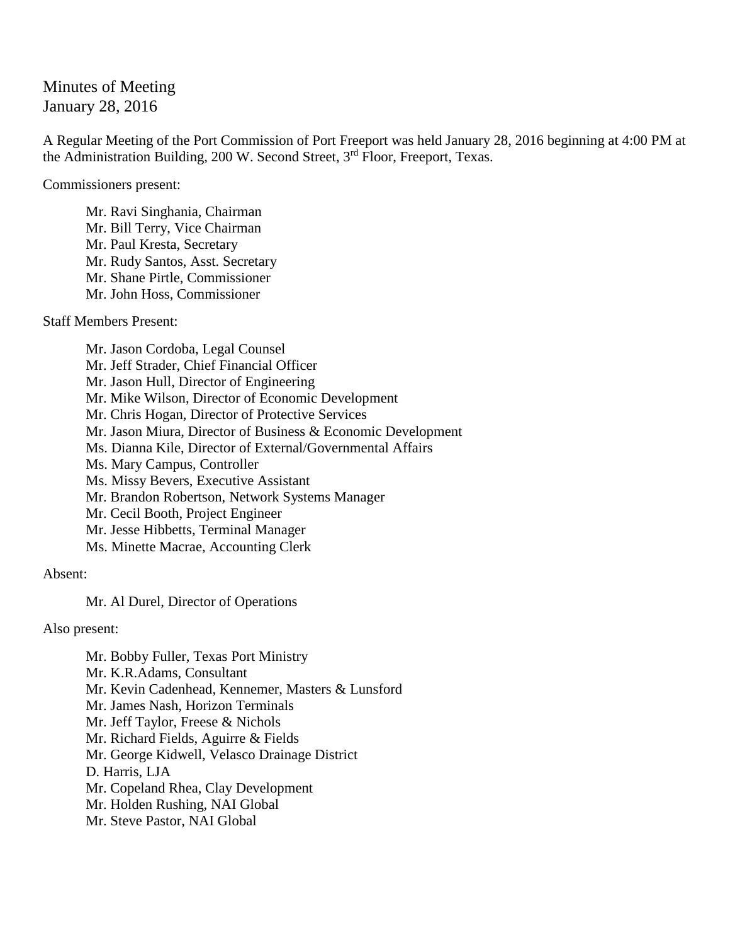Minutes of Meeting January 28, 2016

A Regular Meeting of the Port Commission of Port Freeport was held January 28, 2016 beginning at 4:00 PM at the Administration Building, 200 W. Second Street, 3<sup>rd</sup> Floor, Freeport, Texas.

Commissioners present:

Mr. Ravi Singhania, Chairman Mr. Bill Terry, Vice Chairman Mr. Paul Kresta, Secretary Mr. Rudy Santos, Asst. Secretary Mr. Shane Pirtle, Commissioner Mr. John Hoss, Commissioner

Staff Members Present:

Mr. Jason Cordoba, Legal Counsel Mr. Jeff Strader, Chief Financial Officer Mr. Jason Hull, Director of Engineering Mr. Mike Wilson, Director of Economic Development Mr. Chris Hogan, Director of Protective Services Mr. Jason Miura, Director of Business & Economic Development Ms. Dianna Kile, Director of External/Governmental Affairs Ms. Mary Campus, Controller Ms. Missy Bevers, Executive Assistant Mr. Brandon Robertson, Network Systems Manager Mr. Cecil Booth, Project Engineer Mr. Jesse Hibbetts, Terminal Manager Ms. Minette Macrae, Accounting Clerk

Absent:

Mr. Al Durel, Director of Operations

Also present:

Mr. Bobby Fuller, Texas Port Ministry Mr. K.R.Adams, Consultant Mr. Kevin Cadenhead, Kennemer, Masters & Lunsford Mr. James Nash, Horizon Terminals Mr. Jeff Taylor, Freese & Nichols Mr. Richard Fields, Aguirre & Fields Mr. George Kidwell, Velasco Drainage District D. Harris, LJA Mr. Copeland Rhea, Clay Development Mr. Holden Rushing, NAI Global Mr. Steve Pastor, NAI Global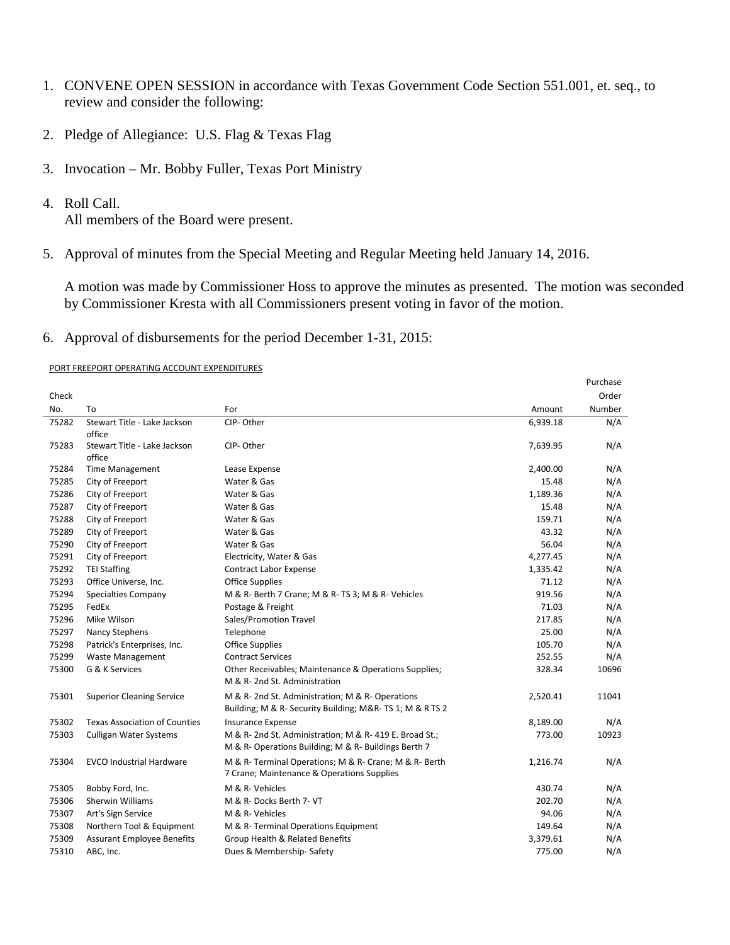- 1. CONVENE OPEN SESSION in accordance with Texas Government Code Section 551.001, et. seq., to review and consider the following:
- 2. Pledge of Allegiance: U.S. Flag & Texas Flag
- 3. Invocation Mr. Bobby Fuller, Texas Port Ministry
- 4. Roll Call.

All members of the Board were present.

5. Approval of minutes from the Special Meeting and Regular Meeting held January 14, 2016.

A motion was made by Commissioner Hoss to approve the minutes as presented. The motion was seconded by Commissioner Kresta with all Commissioners present voting in favor of the motion.

Purchase

6. Approval of disbursements for the period December 1-31, 2015:

## PORT FREEPORT OPERATING ACCOUNT EXPENDITURES

|       |                                        |                                                                                                                 |          | <b>PUILIDE</b> |
|-------|----------------------------------------|-----------------------------------------------------------------------------------------------------------------|----------|----------------|
| Check |                                        |                                                                                                                 |          | Order          |
| No.   | To                                     | For                                                                                                             | Amount   | Number         |
| 75282 | Stewart Title - Lake Jackson<br>office | CIP-Other                                                                                                       | 6,939.18 | N/A            |
| 75283 | Stewart Title - Lake Jackson<br>office | CIP-Other                                                                                                       | 7,639.95 | N/A            |
| 75284 | <b>Time Management</b>                 | Lease Expense                                                                                                   | 2,400.00 | N/A            |
| 75285 | City of Freeport                       | Water & Gas                                                                                                     | 15.48    | N/A            |
| 75286 | City of Freeport                       | Water & Gas                                                                                                     | 1,189.36 | N/A            |
| 75287 | City of Freeport                       | Water & Gas                                                                                                     | 15.48    | N/A            |
| 75288 | City of Freeport                       | Water & Gas                                                                                                     | 159.71   | N/A            |
| 75289 | City of Freeport                       | Water & Gas                                                                                                     | 43.32    | N/A            |
| 75290 | City of Freeport                       | Water & Gas                                                                                                     | 56.04    | N/A            |
| 75291 | City of Freeport                       | Electricity, Water & Gas                                                                                        | 4,277.45 | N/A            |
| 75292 | <b>TEI Staffing</b>                    | <b>Contract Labor Expense</b>                                                                                   | 1,335.42 | N/A            |
| 75293 | Office Universe, Inc.                  | <b>Office Supplies</b>                                                                                          | 71.12    | N/A            |
| 75294 | Specialties Company                    | M & R- Berth 7 Crane; M & R- TS 3; M & R- Vehicles                                                              | 919.56   | N/A            |
| 75295 | FedEx                                  | Postage & Freight                                                                                               | 71.03    | N/A            |
| 75296 | Mike Wilson                            | Sales/Promotion Travel                                                                                          | 217.85   | N/A            |
| 75297 | Nancy Stephens                         | Telephone                                                                                                       | 25.00    | N/A            |
| 75298 | Patrick's Enterprises, Inc.            | <b>Office Supplies</b>                                                                                          | 105.70   | N/A            |
| 75299 | <b>Waste Management</b>                | <b>Contract Services</b>                                                                                        | 252.55   | N/A            |
| 75300 | G & K Services                         | Other Receivables; Maintenance & Operations Supplies;<br>M & R-2nd St. Administration                           | 328.34   | 10696          |
| 75301 | <b>Superior Cleaning Service</b>       | M & R- 2nd St. Administration; M & R- Operations<br>Building; M & R- Security Building; M&R-TS 1; M & RTS 2     | 2,520.41 | 11041          |
| 75302 | <b>Texas Association of Counties</b>   | Insurance Expense                                                                                               | 8,189.00 | N/A            |
| 75303 | <b>Culligan Water Systems</b>          | M & R- 2nd St. Administration; M & R- 419 E. Broad St.;<br>M & R- Operations Building; M & R- Buildings Berth 7 | 773.00   | 10923          |
| 75304 | <b>EVCO Industrial Hardware</b>        | M & R- Terminal Operations; M & R- Crane; M & R- Berth<br>7 Crane; Maintenance & Operations Supplies            | 1,216.74 | N/A            |
| 75305 | Bobby Ford, Inc.                       | M & R- Vehicles                                                                                                 | 430.74   | N/A            |
| 75306 | Sherwin Williams                       | M & R- Docks Berth 7- VT                                                                                        | 202.70   | N/A            |
| 75307 | Art's Sign Service                     | M & R- Vehicles                                                                                                 | 94.06    | N/A            |
| 75308 | Northern Tool & Equipment              | M & R- Terminal Operations Equipment                                                                            | 149.64   | N/A            |
| 75309 | <b>Assurant Employee Benefits</b>      | Group Health & Related Benefits                                                                                 | 3,379.61 | N/A            |
| 75310 | ABC, Inc.                              | Dues & Membership-Safety                                                                                        | 775.00   | N/A            |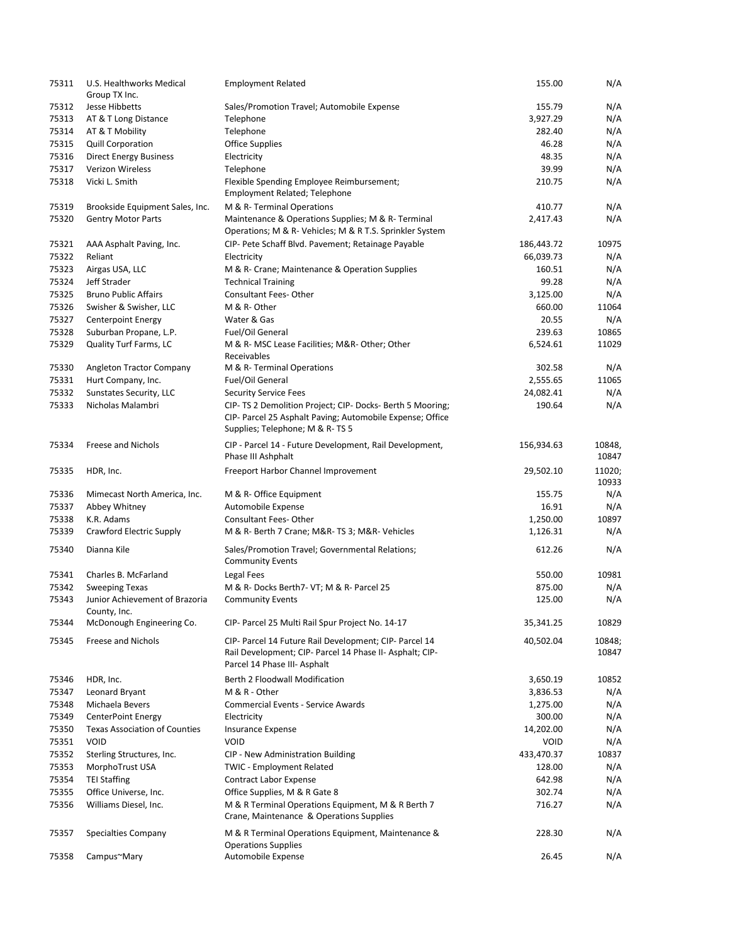| 75311          | U.S. Healthworks Medical<br>Group TX Inc. | <b>Employment Related</b>                                                                                                                          | 155.00      | N/A             |
|----------------|-------------------------------------------|----------------------------------------------------------------------------------------------------------------------------------------------------|-------------|-----------------|
| 75312          | Jesse Hibbetts                            | Sales/Promotion Travel; Automobile Expense                                                                                                         | 155.79      | N/A             |
| 75313          | AT & T Long Distance                      | Telephone                                                                                                                                          | 3,927.29    | N/A             |
| 75314          | AT & T Mobility                           | Telephone                                                                                                                                          | 282.40      | N/A             |
|                |                                           |                                                                                                                                                    | 46.28       |                 |
| 75315<br>75316 | <b>Quill Corporation</b>                  | <b>Office Supplies</b>                                                                                                                             |             | N/A             |
|                | <b>Direct Energy Business</b>             | Electricity                                                                                                                                        | 48.35       | N/A             |
| 75317          | Verizon Wireless                          | Telephone                                                                                                                                          | 39.99       | N/A             |
| 75318          | Vicki L. Smith                            | Flexible Spending Employee Reimbursement;<br>Employment Related; Telephone                                                                         | 210.75      | N/A             |
| 75319          | Brookside Equipment Sales, Inc.           | M & R-Terminal Operations                                                                                                                          | 410.77      | N/A             |
| 75320          | <b>Gentry Motor Parts</b>                 | Maintenance & Operations Supplies; M & R- Terminal<br>Operations; M & R- Vehicles; M & R T.S. Sprinkler System                                     | 2,417.43    | N/A             |
| 75321          | AAA Asphalt Paving, Inc.                  | CIP- Pete Schaff Blvd. Pavement; Retainage Payable                                                                                                 | 186,443.72  | 10975           |
| 75322          | Reliant                                   | Electricity                                                                                                                                        | 66,039.73   | N/A             |
| 75323          | Airgas USA, LLC                           | M & R- Crane; Maintenance & Operation Supplies                                                                                                     | 160.51      | N/A             |
| 75324          | Jeff Strader                              | <b>Technical Training</b>                                                                                                                          | 99.28       | N/A             |
| 75325          | <b>Bruno Public Affairs</b>               | <b>Consultant Fees-Other</b>                                                                                                                       | 3,125.00    | N/A             |
| 75326          | Swisher & Swisher, LLC                    | M & R-Other                                                                                                                                        | 660.00      | 11064           |
| 75327          | <b>Centerpoint Energy</b>                 | Water & Gas                                                                                                                                        | 20.55       | N/A             |
| 75328          | Suburban Propane, L.P.                    | Fuel/Oil General                                                                                                                                   | 239.63      | 10865           |
| 75329          | Quality Turf Farms, LC                    | M & R- MSC Lease Facilities; M&R- Other; Other                                                                                                     | 6,524.61    | 11029           |
|                |                                           | Receivables                                                                                                                                        |             |                 |
| 75330          | Angleton Tractor Company                  | M & R-Terminal Operations                                                                                                                          | 302.58      | N/A             |
| 75331          | Hurt Company, Inc.                        | Fuel/Oil General                                                                                                                                   | 2,555.65    | 11065           |
| 75332          | Sunstates Security, LLC                   | <b>Security Service Fees</b>                                                                                                                       | 24,082.41   | N/A             |
| 75333          | Nicholas Malambri                         | CIP- TS 2 Demolition Project; CIP- Docks- Berth 5 Mooring;                                                                                         | 190.64      | N/A             |
|                |                                           | CIP- Parcel 25 Asphalt Paving; Automobile Expense; Office<br>Supplies; Telephone; M & R-TS 5                                                       |             |                 |
| 75334          | Freese and Nichols                        | CIP - Parcel 14 - Future Development, Rail Development,<br>Phase III Ashphalt                                                                      | 156,934.63  | 10848,<br>10847 |
| 75335          | HDR, Inc.                                 | Freeport Harbor Channel Improvement                                                                                                                | 29,502.10   | 11020;<br>10933 |
| 75336          | Mimecast North America, Inc.              | M & R- Office Equipment                                                                                                                            | 155.75      | N/A             |
| 75337          | Abbey Whitney                             | Automobile Expense                                                                                                                                 | 16.91       | N/A             |
| 75338          | K.R. Adams                                | <b>Consultant Fees-Other</b>                                                                                                                       | 1,250.00    | 10897           |
| 75339          | Crawford Electric Supply                  | M & R- Berth 7 Crane; M&R- TS 3; M&R- Vehicles                                                                                                     | 1,126.31    | N/A             |
| 75340          | Dianna Kile                               | Sales/Promotion Travel; Governmental Relations;<br><b>Community Events</b>                                                                         | 612.26      | N/A             |
|                |                                           |                                                                                                                                                    |             |                 |
| 75341          | Charles B. McFarland                      | Legal Fees                                                                                                                                         | 550.00      | 10981           |
| 75342          | <b>Sweeping Texas</b>                     | M & R- Docks Berth7- VT; M & R- Parcel 25                                                                                                          | 875.00      | N/A             |
| 75343          | Junior Achievement of Brazoria            | <b>Community Events</b>                                                                                                                            | 125.00      | N/A             |
| 75344          | County, Inc.<br>McDonough Engineering Co. | CIP- Parcel 25 Multi Rail Spur Project No. 14-17                                                                                                   | 35,341.25   | 10829           |
| 75345          | Freese and Nichols                        | CIP- Parcel 14 Future Rail Development; CIP- Parcel 14<br>Rail Development; CIP- Parcel 14 Phase II- Asphalt; CIP-<br>Parcel 14 Phase III- Asphalt | 40,502.04   | 10848;<br>10847 |
| 75346          | HDR, Inc.                                 | Berth 2 Floodwall Modification                                                                                                                     | 3,650.19    | 10852           |
| 75347          | Leonard Bryant                            | M & R - Other                                                                                                                                      | 3,836.53    | N/A             |
| 75348          | Michaela Bevers                           | <b>Commercial Events - Service Awards</b>                                                                                                          | 1,275.00    | N/A             |
| 75349          | CenterPoint Energy                        | Electricity                                                                                                                                        | 300.00      | N/A             |
| 75350          | <b>Texas Association of Counties</b>      | <b>Insurance Expense</b>                                                                                                                           | 14,202.00   | N/A             |
| 75351          | <b>VOID</b>                               | VOID                                                                                                                                               | <b>VOID</b> | N/A             |
| 75352          | Sterling Structures, Inc.                 | CIP - New Administration Building                                                                                                                  | 433,470.37  | 10837           |
| 75353          | MorphoTrust USA                           | <b>TWIC - Employment Related</b>                                                                                                                   | 128.00      | N/A             |
| 75354          | <b>TEI Staffing</b>                       | Contract Labor Expense                                                                                                                             | 642.98      | N/A             |
| 75355          | Office Universe, Inc.                     | Office Supplies, M & R Gate 8                                                                                                                      | 302.74      | N/A             |
| 75356          | Williams Diesel, Inc.                     | M & R Terminal Operations Equipment, M & R Berth 7                                                                                                 | 716.27      | N/A             |
|                |                                           | Crane, Maintenance & Operations Supplies                                                                                                           |             |                 |
| 75357          | Specialties Company                       | M & R Terminal Operations Equipment, Maintenance &<br><b>Operations Supplies</b>                                                                   | 228.30      | N/A             |
| 75358          | Campus~Mary                               | Automobile Expense                                                                                                                                 | 26.45       | N/A             |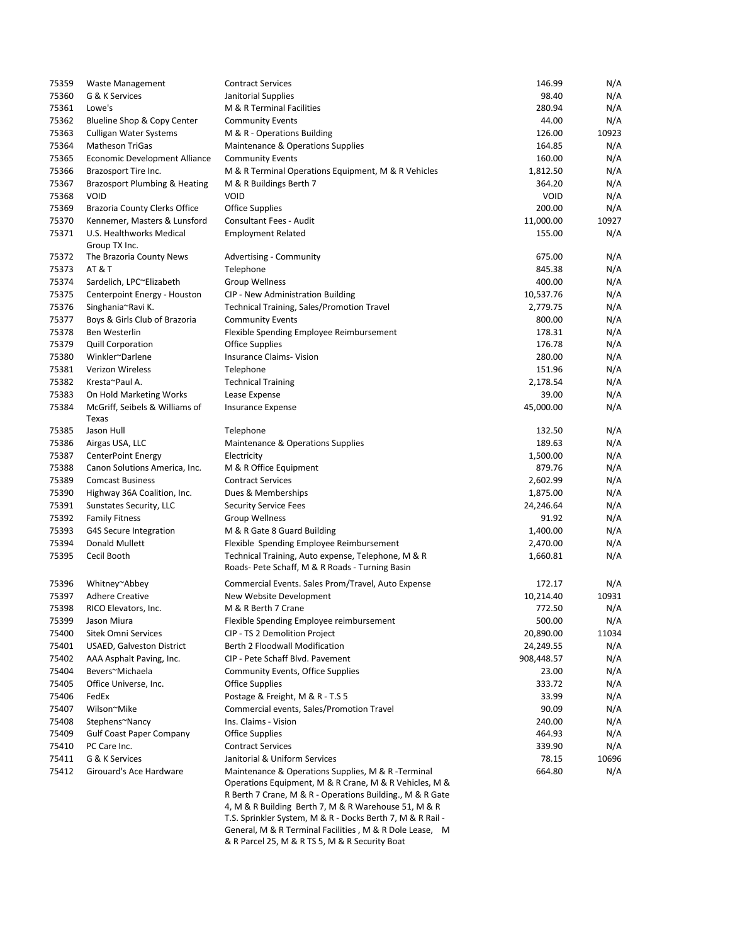| 75359 | <b>Waste Management</b>                 | <b>Contract Services</b>                                                                                                                                                                                                                  | 146.99      | N/A   |
|-------|-----------------------------------------|-------------------------------------------------------------------------------------------------------------------------------------------------------------------------------------------------------------------------------------------|-------------|-------|
| 75360 | G & K Services                          | Janitorial Supplies                                                                                                                                                                                                                       | 98.40       | N/A   |
| 75361 | Lowe's                                  | M & R Terminal Facilities                                                                                                                                                                                                                 | 280.94      | N/A   |
| 75362 | Blueline Shop & Copy Center             | <b>Community Events</b>                                                                                                                                                                                                                   | 44.00       | N/A   |
| 75363 | Culligan Water Systems                  | M & R - Operations Building                                                                                                                                                                                                               | 126.00      | 10923 |
| 75364 | <b>Matheson TriGas</b>                  | Maintenance & Operations Supplies                                                                                                                                                                                                         | 164.85      | N/A   |
| 75365 | Economic Development Alliance           | <b>Community Events</b>                                                                                                                                                                                                                   | 160.00      | N/A   |
| 75366 | Brazosport Tire Inc.                    | M & R Terminal Operations Equipment, M & R Vehicles                                                                                                                                                                                       | 1,812.50    | N/A   |
| 75367 | Brazosport Plumbing & Heating           | M & R Buildings Berth 7                                                                                                                                                                                                                   | 364.20      | N/A   |
| 75368 | <b>VOID</b>                             | <b>VOID</b>                                                                                                                                                                                                                               | <b>VOID</b> | N/A   |
| 75369 | <b>Brazoria County Clerks Office</b>    | Office Supplies                                                                                                                                                                                                                           | 200.00      | N/A   |
| 75370 | Kennemer, Masters & Lunsford            | <b>Consultant Fees - Audit</b>                                                                                                                                                                                                            | 11,000.00   | 10927 |
| 75371 | U.S. Healthworks Medical                | <b>Employment Related</b>                                                                                                                                                                                                                 | 155.00      | N/A   |
|       | Group TX Inc.                           |                                                                                                                                                                                                                                           |             |       |
| 75372 | The Brazoria County News                | Advertising - Community                                                                                                                                                                                                                   | 675.00      | N/A   |
| 75373 | <b>AT &amp; T</b>                       | Telephone                                                                                                                                                                                                                                 | 845.38      | N/A   |
| 75374 | Sardelich, LPC~Elizabeth                | Group Wellness                                                                                                                                                                                                                            | 400.00      | N/A   |
| 75375 | Centerpoint Energy - Houston            | CIP - New Administration Building                                                                                                                                                                                                         | 10,537.76   | N/A   |
| 75376 | Singhania~Ravi K.                       | <b>Technical Training, Sales/Promotion Travel</b>                                                                                                                                                                                         | 2,779.75    | N/A   |
| 75377 | Boys & Girls Club of Brazoria           | <b>Community Events</b>                                                                                                                                                                                                                   | 800.00      | N/A   |
| 75378 | Ben Westerlin                           | Flexible Spending Employee Reimbursement                                                                                                                                                                                                  | 178.31      | N/A   |
| 75379 | <b>Quill Corporation</b>                | Office Supplies                                                                                                                                                                                                                           | 176.78      | N/A   |
| 75380 | Winkler~Darlene                         | <b>Insurance Claims- Vision</b>                                                                                                                                                                                                           | 280.00      | N/A   |
| 75381 | Verizon Wireless                        | Telephone                                                                                                                                                                                                                                 | 151.96      | N/A   |
| 75382 | Kresta~Paul A.                          | <b>Technical Training</b>                                                                                                                                                                                                                 | 2,178.54    | N/A   |
| 75383 | On Hold Marketing Works                 | Lease Expense                                                                                                                                                                                                                             | 39.00       | N/A   |
| 75384 | McGriff, Seibels & Williams of<br>Texas | <b>Insurance Expense</b>                                                                                                                                                                                                                  | 45,000.00   | N/A   |
| 75385 | Jason Hull                              | Telephone                                                                                                                                                                                                                                 | 132.50      | N/A   |
| 75386 | Airgas USA, LLC                         | Maintenance & Operations Supplies                                                                                                                                                                                                         | 189.63      | N/A   |
| 75387 | <b>CenterPoint Energy</b>               | Electricity                                                                                                                                                                                                                               | 1,500.00    | N/A   |
| 75388 | Canon Solutions America, Inc.           | M & R Office Equipment                                                                                                                                                                                                                    | 879.76      | N/A   |
| 75389 | <b>Comcast Business</b>                 | <b>Contract Services</b>                                                                                                                                                                                                                  | 2,602.99    | N/A   |
| 75390 | Highway 36A Coalition, Inc.             | Dues & Memberships                                                                                                                                                                                                                        | 1,875.00    | N/A   |
| 75391 | Sunstates Security, LLC                 | <b>Security Service Fees</b>                                                                                                                                                                                                              | 24,246.64   | N/A   |
| 75392 | <b>Family Fitness</b>                   | Group Wellness                                                                                                                                                                                                                            | 91.92       | N/A   |
| 75393 | G4S Secure Integration                  | M & R Gate 8 Guard Building                                                                                                                                                                                                               | 1,400.00    | N/A   |
| 75394 | Donald Mullett                          | Flexible Spending Employee Reimbursement                                                                                                                                                                                                  | 2,470.00    | N/A   |
| 75395 | Cecil Booth                             | Technical Training, Auto expense, Telephone, M & R<br>Roads-Pete Schaff, M & R Roads - Turning Basin                                                                                                                                      | 1,660.81    | N/A   |
|       |                                         |                                                                                                                                                                                                                                           |             |       |
| 75396 | Whitney~Abbey                           | Commercial Events. Sales Prom/Travel, Auto Expense                                                                                                                                                                                        | 172.17      | N/A   |
| 75397 | <b>Adhere Creative</b>                  | New Website Development                                                                                                                                                                                                                   | 10,214.40   | 10931 |
| 75398 | RICO Elevators, Inc.                    | M & R Berth 7 Crane                                                                                                                                                                                                                       | 772.50      | N/A   |
| 75399 | Jason Miura                             | Flexible Spending Employee reimbursement                                                                                                                                                                                                  | 500.00      | N/A   |
| 75400 | <b>Sitek Omni Services</b>              | CIP - TS 2 Demolition Project                                                                                                                                                                                                             | 20,890.00   | 11034 |
| 75401 | <b>USAED, Galveston District</b>        | Berth 2 Floodwall Modification                                                                                                                                                                                                            | 24,249.55   | N/A   |
| 75402 | AAA Asphalt Paving, Inc.                | CIP - Pete Schaff Blvd. Pavement                                                                                                                                                                                                          | 908,448.57  | N/A   |
| 75404 | Bevers~Michaela                         | Community Events, Office Supplies                                                                                                                                                                                                         | 23.00       | N/A   |
| 75405 | Office Universe, Inc.                   | Office Supplies                                                                                                                                                                                                                           | 333.72      | N/A   |
| 75406 | FedEx                                   | Postage & Freight, M & R - T.S 5                                                                                                                                                                                                          | 33.99       | N/A   |
| 75407 | Wilson~Mike                             | Commercial events, Sales/Promotion Travel                                                                                                                                                                                                 | 90.09       | N/A   |
| 75408 | Stephens~Nancy                          | Ins. Claims - Vision                                                                                                                                                                                                                      | 240.00      | N/A   |
| 75409 | <b>Gulf Coast Paper Company</b>         | <b>Office Supplies</b>                                                                                                                                                                                                                    | 464.93      | N/A   |
| 75410 | PC Care Inc.                            | <b>Contract Services</b>                                                                                                                                                                                                                  | 339.90      | N/A   |
| 75411 | G & K Services                          | Janitorial & Uniform Services                                                                                                                                                                                                             | 78.15       | 10696 |
| 75412 | Girouard's Ace Hardware                 | Maintenance & Operations Supplies, M & R -Terminal                                                                                                                                                                                        | 664.80      | N/A   |
|       |                                         | Operations Equipment, M & R Crane, M & R Vehicles, M &<br>R Berth 7 Crane, M & R - Operations Building., M & R Gate<br>4, M & R Building Berth 7, M & R Warehouse 51, M & R<br>T.S. Sprinkler System, M & R - Docks Berth 7, M & R Rail - |             |       |
|       |                                         | General, M & R Terminal Facilities, M & R Dole Lease, M                                                                                                                                                                                   |             |       |

& R Parcel 25, M & R TS 5, M & R Security Boat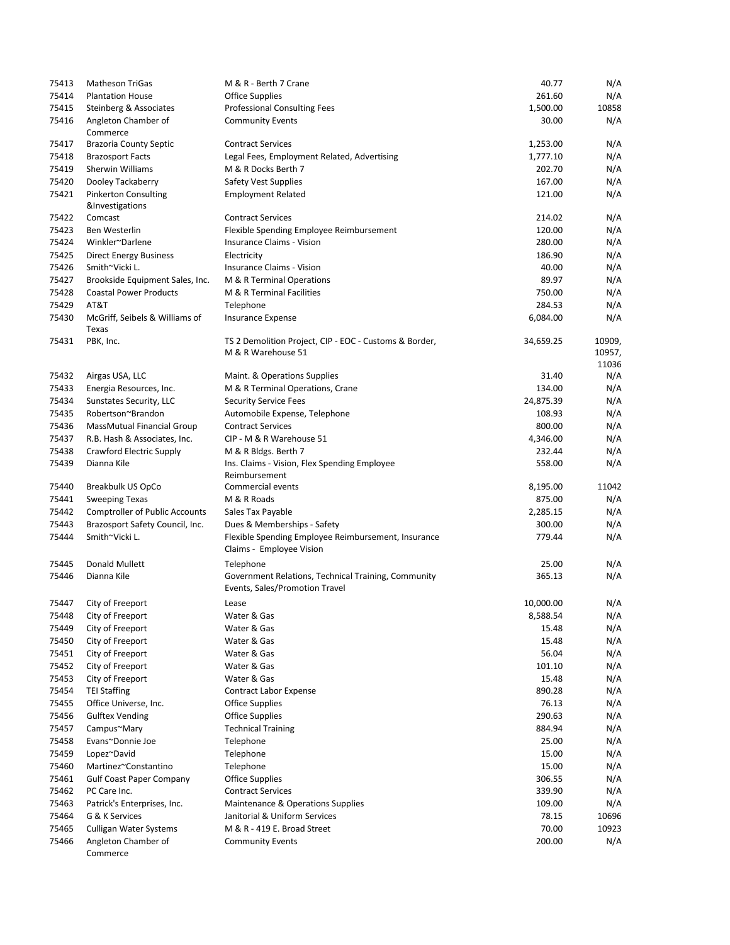| 75413 | <b>Matheson TriGas</b>                  | M & R - Berth 7 Crane                                                           | 40.77     | N/A    |
|-------|-----------------------------------------|---------------------------------------------------------------------------------|-----------|--------|
| 75414 | <b>Plantation House</b>                 | <b>Office Supplies</b>                                                          | 261.60    | N/A    |
| 75415 | Steinberg & Associates                  | <b>Professional Consulting Fees</b>                                             | 1,500.00  | 10858  |
| 75416 | Angleton Chamber of<br>Commerce         | <b>Community Events</b>                                                         | 30.00     | N/A    |
| 75417 | <b>Brazoria County Septic</b>           | <b>Contract Services</b>                                                        | 1,253.00  | N/A    |
| 75418 | <b>Brazosport Facts</b>                 | Legal Fees, Employment Related, Advertising                                     | 1,777.10  | N/A    |
| 75419 | Sherwin Williams                        | M & R Docks Berth 7                                                             | 202.70    | N/A    |
| 75420 | Dooley Tackaberry                       | Safety Vest Supplies                                                            | 167.00    | N/A    |
| 75421 | <b>Pinkerton Consulting</b>             | <b>Employment Related</b>                                                       | 121.00    | N/A    |
|       | &Investigations                         |                                                                                 |           |        |
| 75422 | Comcast                                 | <b>Contract Services</b>                                                        | 214.02    | N/A    |
| 75423 | <b>Ben Westerlin</b>                    | Flexible Spending Employee Reimbursement                                        | 120.00    | N/A    |
| 75424 | Winkler~Darlene                         | Insurance Claims - Vision                                                       | 280.00    | N/A    |
| 75425 | <b>Direct Energy Business</b>           | Electricity                                                                     | 186.90    | N/A    |
| 75426 | Smith~Vicki L.                          | Insurance Claims - Vision                                                       | 40.00     | N/A    |
| 75427 | Brookside Equipment Sales, Inc.         | M & R Terminal Operations                                                       | 89.97     | N/A    |
| 75428 | <b>Coastal Power Products</b>           | M & R Terminal Facilities                                                       | 750.00    | N/A    |
| 75429 | AT&T                                    | Telephone                                                                       | 284.53    | N/A    |
| 75430 | McGriff, Seibels & Williams of<br>Texas | Insurance Expense                                                               | 6,084.00  | N/A    |
| 75431 | PBK, Inc.                               | TS 2 Demolition Project, CIP - EOC - Customs & Border,                          | 34,659.25 | 10909, |
|       |                                         | M & R Warehouse 51                                                              |           | 10957, |
|       |                                         |                                                                                 |           | 11036  |
| 75432 | Airgas USA, LLC                         | Maint. & Operations Supplies                                                    | 31.40     | N/A    |
| 75433 | Energia Resources, Inc.                 | M & R Terminal Operations, Crane                                                | 134.00    | N/A    |
| 75434 | Sunstates Security, LLC                 | <b>Security Service Fees</b>                                                    | 24,875.39 | N/A    |
| 75435 | Robertson~Brandon                       | Automobile Expense, Telephone                                                   | 108.93    | N/A    |
| 75436 | <b>MassMutual Financial Group</b>       | <b>Contract Services</b>                                                        | 800.00    | N/A    |
| 75437 | R.B. Hash & Associates, Inc.            | CIP - M & R Warehouse 51                                                        | 4,346.00  | N/A    |
| 75438 | Crawford Electric Supply                | M & R Bldgs. Berth 7                                                            | 232.44    | N/A    |
| 75439 | Dianna Kile                             | Ins. Claims - Vision, Flex Spending Employee<br>Reimbursement                   | 558.00    | N/A    |
| 75440 | Breakbulk US OpCo                       | Commercial events                                                               | 8,195.00  | 11042  |
| 75441 | <b>Sweeping Texas</b>                   | M & R Roads                                                                     | 875.00    | N/A    |
| 75442 | <b>Comptroller of Public Accounts</b>   | Sales Tax Payable                                                               | 2,285.15  | N/A    |
| 75443 | Brazosport Safety Council, Inc.         | Dues & Memberships - Safety                                                     | 300.00    | N/A    |
| 75444 | Smith~Vicki L.                          | Flexible Spending Employee Reimbursement, Insurance<br>Claims - Employee Vision | 779.44    | N/A    |
| 75445 | <b>Donald Mullett</b>                   | Telephone                                                                       | 25.00     | N/A    |
| 75446 | Dianna Kile                             | Government Relations, Technical Training, Community                             | 365.13    | N/A    |
|       |                                         | Events, Sales/Promotion Travel                                                  |           |        |
| 75447 | City of Freeport                        | Lease                                                                           | 10,000.00 | N/A    |
| 75448 | City of Freeport                        | Water & Gas                                                                     | 8,588.54  | N/A    |
| 75449 | City of Freeport                        | Water & Gas                                                                     | 15.48     | N/A    |
| 75450 | City of Freeport                        | Water & Gas                                                                     | 15.48     | N/A    |
| 75451 | City of Freeport                        | Water & Gas                                                                     | 56.04     | N/A    |
| 75452 | City of Freeport                        | Water & Gas                                                                     | 101.10    | N/A    |
| 75453 | City of Freeport                        | Water & Gas                                                                     | 15.48     | N/A    |
| 75454 | <b>TEI Staffing</b>                     | Contract Labor Expense                                                          | 890.28    | N/A    |
| 75455 | Office Universe, Inc.                   | <b>Office Supplies</b>                                                          | 76.13     | N/A    |
| 75456 | <b>Gulftex Vending</b>                  | <b>Office Supplies</b>                                                          | 290.63    | N/A    |
| 75457 | Campus~Mary                             | <b>Technical Training</b>                                                       | 884.94    | N/A    |
| 75458 | Evans~Donnie Joe                        | Telephone                                                                       | 25.00     | N/A    |
| 75459 | Lopez~David                             | Telephone                                                                       | 15.00     | N/A    |
| 75460 | Martinez~Constantino                    | Telephone                                                                       | 15.00     | N/A    |
| 75461 | <b>Gulf Coast Paper Company</b>         | <b>Office Supplies</b>                                                          | 306.55    | N/A    |
| 75462 | PC Care Inc.                            | <b>Contract Services</b>                                                        | 339.90    | N/A    |
| 75463 | Patrick's Enterprises, Inc.             | Maintenance & Operations Supplies                                               | 109.00    | N/A    |
| 75464 | G & K Services                          | Janitorial & Uniform Services                                                   | 78.15     | 10696  |
| 75465 | <b>Culligan Water Systems</b>           | M & R - 419 E. Broad Street                                                     | 70.00     | 10923  |
| 75466 | Angleton Chamber of<br>Commerce         | <b>Community Events</b>                                                         | 200.00    | N/A    |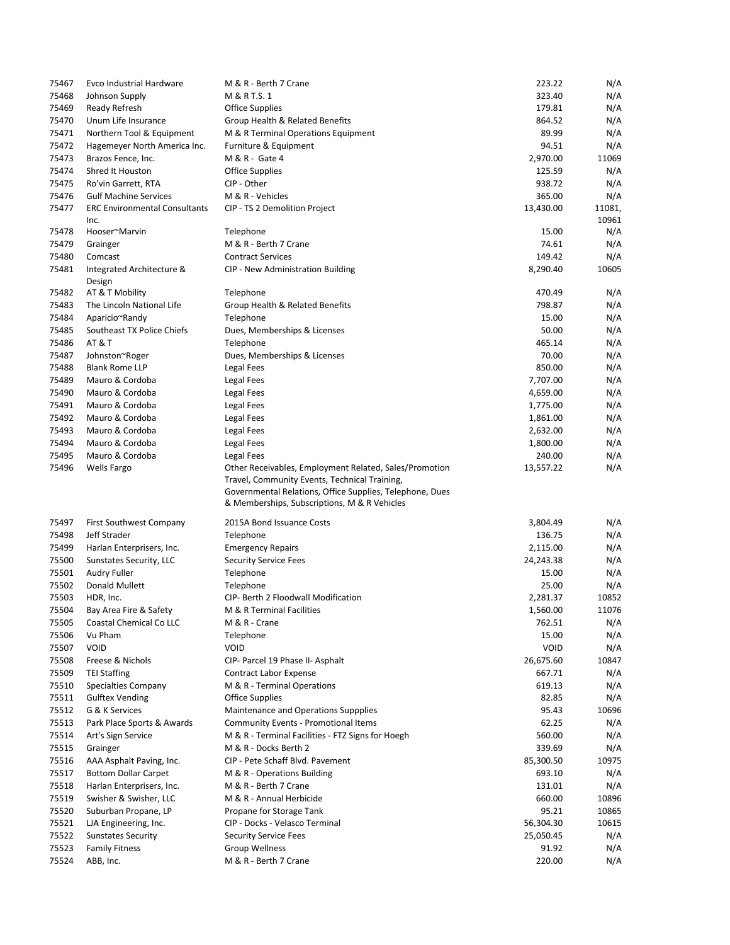| 75467 | Evco Industrial Hardware             | M & R - Berth 7 Crane                                                                                                                                                                                               | 223.22      | N/A    |
|-------|--------------------------------------|---------------------------------------------------------------------------------------------------------------------------------------------------------------------------------------------------------------------|-------------|--------|
| 75468 | Johnson Supply                       | M & R T.S. 1                                                                                                                                                                                                        | 323.40      | N/A    |
| 75469 | Ready Refresh                        | <b>Office Supplies</b>                                                                                                                                                                                              | 179.81      | N/A    |
| 75470 | Unum Life Insurance                  | Group Health & Related Benefits                                                                                                                                                                                     | 864.52      | N/A    |
| 75471 | Northern Tool & Equipment            | M & R Terminal Operations Equipment                                                                                                                                                                                 | 89.99       | N/A    |
| 75472 | Hagemeyer North America Inc.         | Furniture & Equipment                                                                                                                                                                                               | 94.51       | N/A    |
| 75473 | Brazos Fence, Inc.                   | M & R - Gate 4                                                                                                                                                                                                      | 2,970.00    | 11069  |
| 75474 | Shred It Houston                     | <b>Office Supplies</b>                                                                                                                                                                                              | 125.59      | N/A    |
| 75475 | Ro'vin Garrett, RTA                  | CIP - Other                                                                                                                                                                                                         | 938.72      | N/A    |
| 75476 | <b>Gulf Machine Services</b>         | M & R - Vehicles                                                                                                                                                                                                    | 365.00      | N/A    |
| 75477 | <b>ERC Environmental Consultants</b> | CIP - TS 2 Demolition Project                                                                                                                                                                                       | 13,430.00   | 11081, |
|       | Inc.                                 |                                                                                                                                                                                                                     |             | 10961  |
| 75478 | Hooser~Marvin                        | Telephone                                                                                                                                                                                                           | 15.00       | N/A    |
| 75479 | Grainger                             | M & R - Berth 7 Crane                                                                                                                                                                                               | 74.61       | N/A    |
| 75480 | Comcast                              | <b>Contract Services</b>                                                                                                                                                                                            | 149.42      | N/A    |
| 75481 | Integrated Architecture &<br>Design  | CIP - New Administration Building                                                                                                                                                                                   | 8,290.40    | 10605  |
| 75482 | AT & T Mobility                      | Telephone                                                                                                                                                                                                           | 470.49      | N/A    |
| 75483 | The Lincoln National Life            | Group Health & Related Benefits                                                                                                                                                                                     | 798.87      | N/A    |
| 75484 | Aparicio~Randy                       | Telephone                                                                                                                                                                                                           | 15.00       | N/A    |
| 75485 | Southeast TX Police Chiefs           | Dues, Memberships & Licenses                                                                                                                                                                                        | 50.00       | N/A    |
| 75486 | <b>AT &amp; T</b>                    | Telephone                                                                                                                                                                                                           | 465.14      | N/A    |
| 75487 | Johnston~Roger                       | Dues, Memberships & Licenses                                                                                                                                                                                        | 70.00       | N/A    |
| 75488 | <b>Blank Rome LLP</b>                | Legal Fees                                                                                                                                                                                                          | 850.00      | N/A    |
| 75489 | Mauro & Cordoba                      | Legal Fees                                                                                                                                                                                                          | 7,707.00    | N/A    |
| 75490 | Mauro & Cordoba                      | Legal Fees                                                                                                                                                                                                          | 4,659.00    | N/A    |
| 75491 | Mauro & Cordoba                      | Legal Fees                                                                                                                                                                                                          | 1,775.00    | N/A    |
| 75492 | Mauro & Cordoba                      | Legal Fees                                                                                                                                                                                                          | 1,861.00    | N/A    |
| 75493 | Mauro & Cordoba                      | Legal Fees                                                                                                                                                                                                          | 2,632.00    | N/A    |
| 75494 | Mauro & Cordoba                      | Legal Fees                                                                                                                                                                                                          | 1,800.00    | N/A    |
| 75495 | Mauro & Cordoba                      | Legal Fees                                                                                                                                                                                                          | 240.00      | N/A    |
| 75496 | <b>Wells Fargo</b>                   | Other Receivables, Employment Related, Sales/Promotion<br>Travel, Community Events, Technical Training,<br>Governmental Relations, Office Supplies, Telephone, Dues<br>& Memberships, Subscriptions, M & R Vehicles | 13,557.22   | N/A    |
| 75497 | First Southwest Company              | 2015A Bond Issuance Costs                                                                                                                                                                                           | 3,804.49    | N/A    |
| 75498 | Jeff Strader                         | Telephone                                                                                                                                                                                                           | 136.75      | N/A    |
| 75499 | Harlan Enterprisers, Inc.            | <b>Emergency Repairs</b>                                                                                                                                                                                            | 2,115.00    | N/A    |
| 75500 | Sunstates Security, LLC              | <b>Security Service Fees</b>                                                                                                                                                                                        | 24,243.38   | N/A    |
| 75501 | Audry Fuller                         | Telephone                                                                                                                                                                                                           | 15.00       | N/A    |
| 75502 | Donald Mullett                       | Telephone                                                                                                                                                                                                           | 25.00       | N/A    |
| 75503 | HDR, Inc.                            | CIP- Berth 2 Floodwall Modification                                                                                                                                                                                 | 2,281.37    | 10852  |
| 75504 | Bay Area Fire & Safety               | M & R Terminal Facilities                                                                                                                                                                                           | 1,560.00    | 11076  |
| 75505 | Coastal Chemical Co LLC              | M & R - Crane                                                                                                                                                                                                       | 762.51      | N/A    |
| 75506 | Vu Pham                              | Telephone                                                                                                                                                                                                           | 15.00       | N/A    |
| 75507 | VOID                                 | <b>VOID</b>                                                                                                                                                                                                         | <b>VOID</b> | N/A    |
| 75508 | Freese & Nichols                     | CIP- Parcel 19 Phase II- Asphalt                                                                                                                                                                                    | 26,675.60   | 10847  |
| 75509 | <b>TEI Staffing</b>                  | Contract Labor Expense                                                                                                                                                                                              | 667.71      | N/A    |
| 75510 | Specialties Company                  | M & R - Terminal Operations                                                                                                                                                                                         | 619.13      | N/A    |
| 75511 | <b>Gulftex Vending</b>               | <b>Office Supplies</b>                                                                                                                                                                                              | 82.85       | N/A    |
| 75512 | G & K Services                       | Maintenance and Operations Suppplies                                                                                                                                                                                | 95.43       | 10696  |
| 75513 | Park Place Sports & Awards           | <b>Community Events - Promotional Items</b>                                                                                                                                                                         | 62.25       | N/A    |
| 75514 | Art's Sign Service                   | M & R - Terminal Facilities - FTZ Signs for Hoegh                                                                                                                                                                   | 560.00      | N/A    |
| 75515 | Grainger                             | M & R - Docks Berth 2                                                                                                                                                                                               | 339.69      | N/A    |
| 75516 | AAA Asphalt Paving, Inc.             | CIP - Pete Schaff Blvd. Pavement                                                                                                                                                                                    | 85,300.50   | 10975  |
| 75517 | <b>Bottom Dollar Carpet</b>          | M & R - Operations Building                                                                                                                                                                                         | 693.10      | N/A    |
| 75518 | Harlan Enterprisers, Inc.            | M & R - Berth 7 Crane                                                                                                                                                                                               | 131.01      | N/A    |
| 75519 | Swisher & Swisher, LLC               | M & R - Annual Herbicide                                                                                                                                                                                            | 660.00      | 10896  |
| 75520 | Suburban Propane, LP                 | Propane for Storage Tank                                                                                                                                                                                            | 95.21       | 10865  |
| 75521 | LJA Engineering, Inc.                | CIP - Docks - Velasco Terminal                                                                                                                                                                                      | 56,304.30   | 10615  |
| 75522 | <b>Sunstates Security</b>            | <b>Security Service Fees</b>                                                                                                                                                                                        | 25,050.45   | N/A    |
| 75523 | <b>Family Fitness</b>                | Group Wellness                                                                                                                                                                                                      | 91.92       | N/A    |
| 75524 | ABB, Inc.                            | M & R - Berth 7 Crane                                                                                                                                                                                               | 220.00      | N/A    |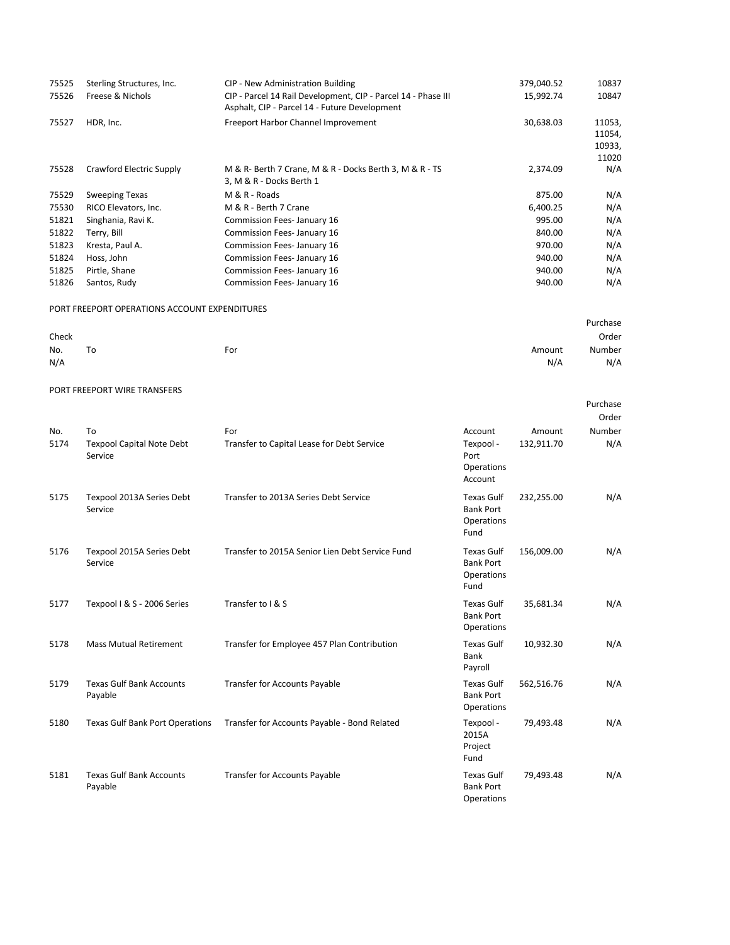| 75525 | Sterling Structures, Inc.                     | CIP - New Administration Building                                                                              | 379,040.52 | 10837                               |
|-------|-----------------------------------------------|----------------------------------------------------------------------------------------------------------------|------------|-------------------------------------|
| 75526 | Freese & Nichols                              | CIP - Parcel 14 Rail Development, CIP - Parcel 14 - Phase III<br>Asphalt, CIP - Parcel 14 - Future Development | 15,992.74  | 10847                               |
| 75527 | HDR, Inc.                                     | Freeport Harbor Channel Improvement                                                                            | 30,638.03  | 11053,<br>11054,<br>10933,<br>11020 |
| 75528 | Crawford Electric Supply                      | M & R- Berth 7 Crane, M & R - Docks Berth 3, M & R - TS<br>3, M & R - Docks Berth 1                            | 2,374.09   | N/A                                 |
| 75529 | <b>Sweeping Texas</b>                         | M & R - Roads                                                                                                  | 875.00     | N/A                                 |
| 75530 | RICO Elevators, Inc.                          | M & R - Berth 7 Crane                                                                                          | 6,400.25   | N/A                                 |
| 51821 | Singhania, Ravi K.                            | Commission Fees- January 16                                                                                    | 995.00     | N/A                                 |
| 51822 | Terry, Bill                                   | Commission Fees- January 16                                                                                    | 840.00     | N/A                                 |
| 51823 | Kresta, Paul A.                               | Commission Fees- January 16                                                                                    | 970.00     | N/A                                 |
| 51824 | Hoss, John                                    | Commission Fees- January 16                                                                                    | 940.00     | N/A                                 |
| 51825 | Pirtle, Shane                                 | Commission Fees- January 16                                                                                    | 940.00     | N/A                                 |
| 51826 | Santos, Rudy                                  | Commission Fees- January 16                                                                                    | 940.00     | N/A                                 |
|       | PORT FREEPORT OPERATIONS ACCOUNT EXPENDITURES |                                                                                                                |            |                                     |
|       |                                               |                                                                                                                |            | Purchase                            |
| Check |                                               |                                                                                                                |            | Order                               |
| No.   | To                                            | For                                                                                                            | Amount     | Number                              |
| N/A   |                                               |                                                                                                                | N/A        | N/A                                 |

Purchase

|             |                                            |                                                   |                                                             |                      | Order         |
|-------------|--------------------------------------------|---------------------------------------------------|-------------------------------------------------------------|----------------------|---------------|
| No.<br>5174 | To<br><b>Texpool Capital Note Debt</b>     | For<br>Transfer to Capital Lease for Debt Service | Account<br>Texpool -                                        | Amount<br>132,911.70 | Number<br>N/A |
|             | Service                                    |                                                   | Port<br>Operations<br>Account                               |                      |               |
| 5175        | Texpool 2013A Series Debt<br>Service       | Transfer to 2013A Series Debt Service             | <b>Texas Gulf</b><br><b>Bank Port</b><br>Operations<br>Fund | 232,255.00           | N/A           |
| 5176        | Texpool 2015A Series Debt<br>Service       | Transfer to 2015A Senior Lien Debt Service Fund   | <b>Texas Gulf</b><br><b>Bank Port</b><br>Operations<br>Fund | 156,009.00           | N/A           |
| 5177        | Texpool I & S - 2006 Series                | Transfer to I & S                                 | <b>Texas Gulf</b><br><b>Bank Port</b><br>Operations         | 35,681.34            | N/A           |
| 5178        | <b>Mass Mutual Retirement</b>              | Transfer for Employee 457 Plan Contribution       | <b>Texas Gulf</b><br>Bank<br>Payroll                        | 10,932.30            | N/A           |
| 5179        | <b>Texas Gulf Bank Accounts</b><br>Payable | <b>Transfer for Accounts Payable</b>              | <b>Texas Gulf</b><br><b>Bank Port</b><br>Operations         | 562,516.76           | N/A           |
| 5180        | <b>Texas Gulf Bank Port Operations</b>     | Transfer for Accounts Payable - Bond Related      | Texpool -<br>2015A<br>Project<br>Fund                       | 79,493.48            | N/A           |
| 5181        | <b>Texas Gulf Bank Accounts</b><br>Payable | <b>Transfer for Accounts Payable</b>              | <b>Texas Gulf</b><br><b>Bank Port</b><br>Operations         | 79,493.48            | N/A           |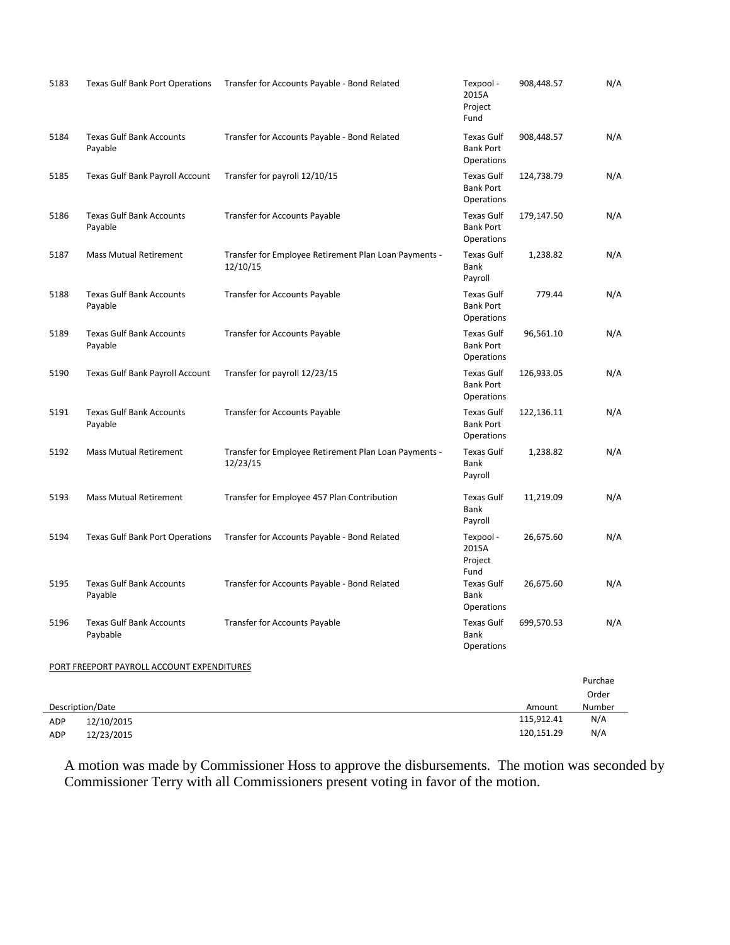| 5183       | Texas Gulf Bank Port Operations             | Transfer for Accounts Payable - Bond Related                      | Texpool -<br>2015A<br>Project<br>Fund               | 908,448.57           | N/A           |
|------------|---------------------------------------------|-------------------------------------------------------------------|-----------------------------------------------------|----------------------|---------------|
| 5184       | <b>Texas Gulf Bank Accounts</b><br>Payable  | Transfer for Accounts Payable - Bond Related                      | <b>Texas Gulf</b><br><b>Bank Port</b><br>Operations | 908,448.57           | N/A           |
| 5185       | Texas Gulf Bank Payroll Account             | Transfer for payroll 12/10/15                                     | <b>Texas Gulf</b><br><b>Bank Port</b><br>Operations | 124,738.79           | N/A           |
| 5186       | <b>Texas Gulf Bank Accounts</b><br>Payable  | <b>Transfer for Accounts Payable</b>                              | <b>Texas Gulf</b><br><b>Bank Port</b><br>Operations | 179,147.50           | N/A           |
| 5187       | <b>Mass Mutual Retirement</b>               | Transfer for Employee Retirement Plan Loan Payments -<br>12/10/15 | <b>Texas Gulf</b><br><b>Bank</b><br>Payroll         | 1,238.82             | N/A           |
| 5188       | <b>Texas Gulf Bank Accounts</b><br>Payable  | <b>Transfer for Accounts Payable</b>                              | <b>Texas Gulf</b><br><b>Bank Port</b><br>Operations | 779.44               | N/A           |
| 5189       | <b>Texas Gulf Bank Accounts</b><br>Payable  | <b>Transfer for Accounts Payable</b>                              | Texas Gulf<br><b>Bank Port</b><br>Operations        | 96,561.10            | N/A           |
| 5190       | Texas Gulf Bank Payroll Account             | Transfer for payroll 12/23/15                                     | <b>Texas Gulf</b><br><b>Bank Port</b><br>Operations | 126,933.05           | N/A           |
| 5191       | <b>Texas Gulf Bank Accounts</b><br>Payable  | <b>Transfer for Accounts Payable</b>                              | <b>Texas Gulf</b><br><b>Bank Port</b><br>Operations | 122,136.11           | N/A           |
| 5192       | <b>Mass Mutual Retirement</b>               | Transfer for Employee Retirement Plan Loan Payments -<br>12/23/15 | <b>Texas Gulf</b><br><b>Bank</b><br>Payroll         | 1,238.82             | N/A           |
| 5193       | <b>Mass Mutual Retirement</b>               | Transfer for Employee 457 Plan Contribution                       | <b>Texas Gulf</b><br>Bank<br>Payroll                | 11,219.09            | N/A           |
| 5194       | <b>Texas Gulf Bank Port Operations</b>      | Transfer for Accounts Payable - Bond Related                      | Texpool -<br>2015A<br>Project<br>Fund               | 26,675.60            | N/A           |
| 5195       | <b>Texas Gulf Bank Accounts</b><br>Payable  | Transfer for Accounts Payable - Bond Related                      | Texas Gulf<br>Bank<br><b>Operations</b>             | 26,675.60            | N/A           |
| 5196       | <b>Texas Gulf Bank Accounts</b><br>Paybable | Transfer for Accounts Payable                                     | Texas Gulf<br>Bank<br>Operations                    | 699,570.53           | N/A           |
|            | PORT FREEPORT PAYROLL ACCOUNT EXPENDITURES  |                                                                   |                                                     |                      |               |
|            |                                             |                                                                   |                                                     |                      | Purchae       |
|            |                                             |                                                                   |                                                     |                      | Order         |
|            | Description/Date<br>12/10/2015              |                                                                   |                                                     | Amount<br>115,912.41 | Number<br>N/A |
| ADP<br>ADP | 12/23/2015                                  |                                                                   |                                                     | 120,151.29           | N/A           |
|            |                                             |                                                                   |                                                     |                      |               |

A motion was made by Commissioner Hoss to approve the disbursements. The motion was seconded by Commissioner Terry with all Commissioners present voting in favor of the motion.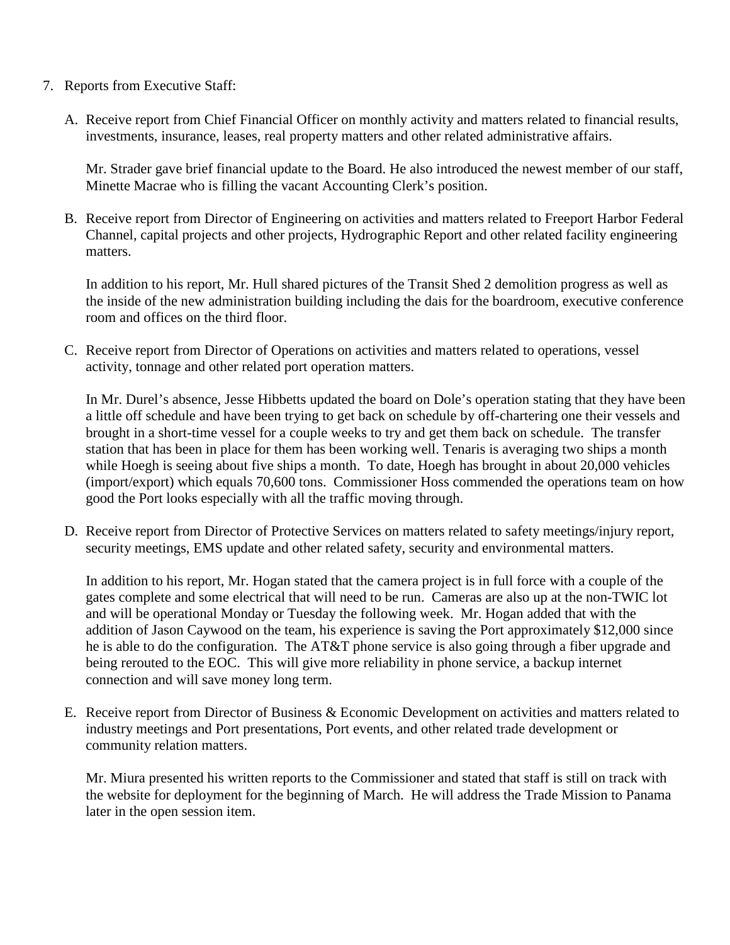- 7. Reports from Executive Staff:
	- A. Receive report from Chief Financial Officer on monthly activity and matters related to financial results, investments, insurance, leases, real property matters and other related administrative affairs.

Mr. Strader gave brief financial update to the Board. He also introduced the newest member of our staff, Minette Macrae who is filling the vacant Accounting Clerk's position.

B. Receive report from Director of Engineering on activities and matters related to Freeport Harbor Federal Channel, capital projects and other projects, Hydrographic Report and other related facility engineering matters.

In addition to his report, Mr. Hull shared pictures of the Transit Shed 2 demolition progress as well as the inside of the new administration building including the dais for the boardroom, executive conference room and offices on the third floor.

C. Receive report from Director of Operations on activities and matters related to operations, vessel activity, tonnage and other related port operation matters.

In Mr. Durel's absence, Jesse Hibbetts updated the board on Dole's operation stating that they have been a little off schedule and have been trying to get back on schedule by off-chartering one their vessels and brought in a short-time vessel for a couple weeks to try and get them back on schedule. The transfer station that has been in place for them has been working well. Tenaris is averaging two ships a month while Hoegh is seeing about five ships a month. To date, Hoegh has brought in about 20,000 vehicles (import/export) which equals 70,600 tons. Commissioner Hoss commended the operations team on how good the Port looks especially with all the traffic moving through.

D. Receive report from Director of Protective Services on matters related to safety meetings/injury report, security meetings, EMS update and other related safety, security and environmental matters.

In addition to his report, Mr. Hogan stated that the camera project is in full force with a couple of the gates complete and some electrical that will need to be run. Cameras are also up at the non-TWIC lot and will be operational Monday or Tuesday the following week. Mr. Hogan added that with the addition of Jason Caywood on the team, his experience is saving the Port approximately \$12,000 since he is able to do the configuration. The AT&T phone service is also going through a fiber upgrade and being rerouted to the EOC. This will give more reliability in phone service, a backup internet connection and will save money long term.

E. Receive report from Director of Business & Economic Development on activities and matters related to industry meetings and Port presentations, Port events, and other related trade development or community relation matters.

Mr. Miura presented his written reports to the Commissioner and stated that staff is still on track with the website for deployment for the beginning of March. He will address the Trade Mission to Panama later in the open session item.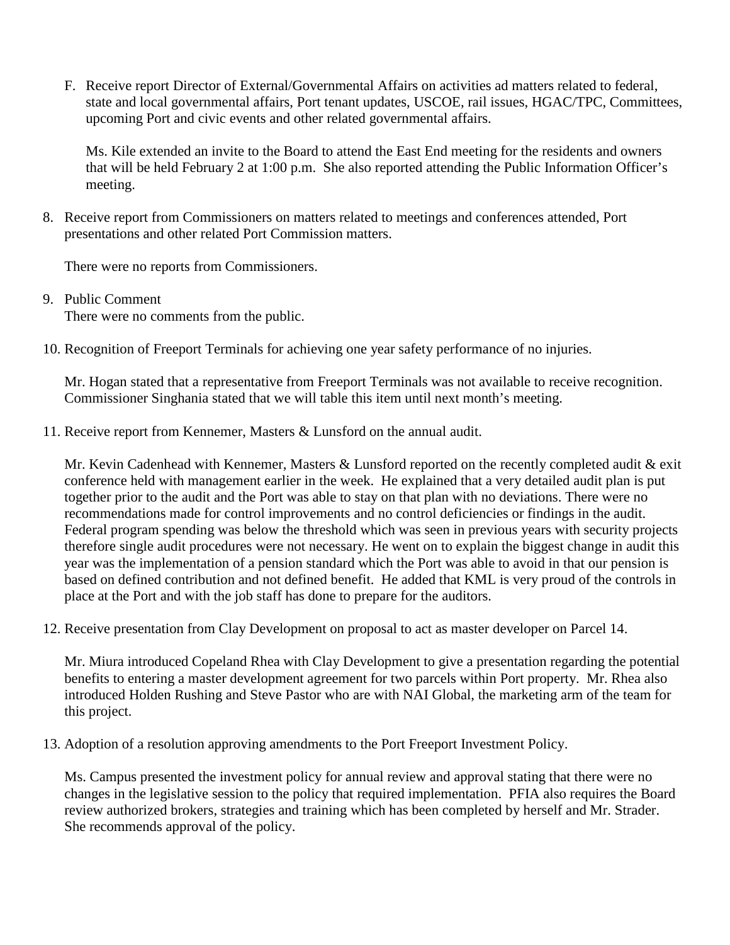F. Receive report Director of External/Governmental Affairs on activities ad matters related to federal, state and local governmental affairs, Port tenant updates, USCOE, rail issues, HGAC/TPC, Committees, upcoming Port and civic events and other related governmental affairs.

Ms. Kile extended an invite to the Board to attend the East End meeting for the residents and owners that will be held February 2 at 1:00 p.m. She also reported attending the Public Information Officer's meeting.

8. Receive report from Commissioners on matters related to meetings and conferences attended, Port presentations and other related Port Commission matters.

There were no reports from Commissioners.

- 9. Public Comment There were no comments from the public.
- 10. Recognition of Freeport Terminals for achieving one year safety performance of no injuries.

Mr. Hogan stated that a representative from Freeport Terminals was not available to receive recognition. Commissioner Singhania stated that we will table this item until next month's meeting.

11. Receive report from Kennemer, Masters & Lunsford on the annual audit.

Mr. Kevin Cadenhead with Kennemer, Masters & Lunsford reported on the recently completed audit & exit conference held with management earlier in the week. He explained that a very detailed audit plan is put together prior to the audit and the Port was able to stay on that plan with no deviations. There were no recommendations made for control improvements and no control deficiencies or findings in the audit. Federal program spending was below the threshold which was seen in previous years with security projects therefore single audit procedures were not necessary. He went on to explain the biggest change in audit this year was the implementation of a pension standard which the Port was able to avoid in that our pension is based on defined contribution and not defined benefit. He added that KML is very proud of the controls in place at the Port and with the job staff has done to prepare for the auditors.

12. Receive presentation from Clay Development on proposal to act as master developer on Parcel 14.

Mr. Miura introduced Copeland Rhea with Clay Development to give a presentation regarding the potential benefits to entering a master development agreement for two parcels within Port property. Mr. Rhea also introduced Holden Rushing and Steve Pastor who are with NAI Global, the marketing arm of the team for this project.

13. Adoption of a resolution approving amendments to the Port Freeport Investment Policy.

Ms. Campus presented the investment policy for annual review and approval stating that there were no changes in the legislative session to the policy that required implementation. PFIA also requires the Board review authorized brokers, strategies and training which has been completed by herself and Mr. Strader. She recommends approval of the policy.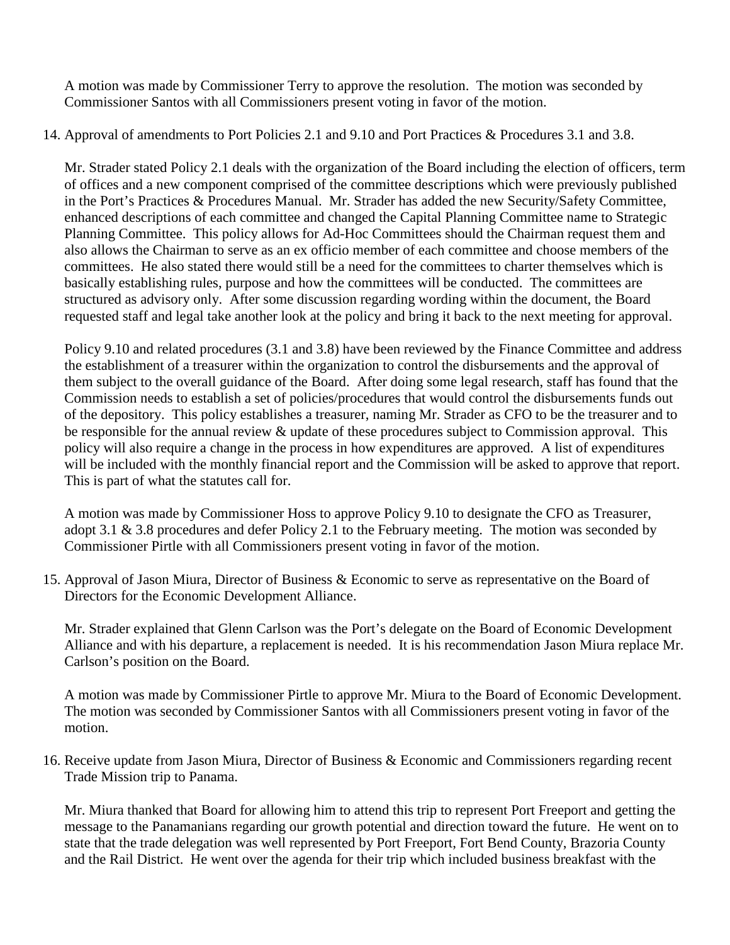A motion was made by Commissioner Terry to approve the resolution. The motion was seconded by Commissioner Santos with all Commissioners present voting in favor of the motion.

14. Approval of amendments to Port Policies 2.1 and 9.10 and Port Practices & Procedures 3.1 and 3.8.

Mr. Strader stated Policy 2.1 deals with the organization of the Board including the election of officers, term of offices and a new component comprised of the committee descriptions which were previously published in the Port's Practices & Procedures Manual. Mr. Strader has added the new Security/Safety Committee, enhanced descriptions of each committee and changed the Capital Planning Committee name to Strategic Planning Committee. This policy allows for Ad-Hoc Committees should the Chairman request them and also allows the Chairman to serve as an ex officio member of each committee and choose members of the committees. He also stated there would still be a need for the committees to charter themselves which is basically establishing rules, purpose and how the committees will be conducted. The committees are structured as advisory only. After some discussion regarding wording within the document, the Board requested staff and legal take another look at the policy and bring it back to the next meeting for approval.

Policy 9.10 and related procedures (3.1 and 3.8) have been reviewed by the Finance Committee and address the establishment of a treasurer within the organization to control the disbursements and the approval of them subject to the overall guidance of the Board. After doing some legal research, staff has found that the Commission needs to establish a set of policies/procedures that would control the disbursements funds out of the depository. This policy establishes a treasurer, naming Mr. Strader as CFO to be the treasurer and to be responsible for the annual review & update of these procedures subject to Commission approval. This policy will also require a change in the process in how expenditures are approved. A list of expenditures will be included with the monthly financial report and the Commission will be asked to approve that report. This is part of what the statutes call for.

A motion was made by Commissioner Hoss to approve Policy 9.10 to designate the CFO as Treasurer, adopt 3.1 & 3.8 procedures and defer Policy 2.1 to the February meeting. The motion was seconded by Commissioner Pirtle with all Commissioners present voting in favor of the motion.

15. Approval of Jason Miura, Director of Business & Economic to serve as representative on the Board of Directors for the Economic Development Alliance.

Mr. Strader explained that Glenn Carlson was the Port's delegate on the Board of Economic Development Alliance and with his departure, a replacement is needed. It is his recommendation Jason Miura replace Mr. Carlson's position on the Board.

A motion was made by Commissioner Pirtle to approve Mr. Miura to the Board of Economic Development. The motion was seconded by Commissioner Santos with all Commissioners present voting in favor of the motion.

16. Receive update from Jason Miura, Director of Business & Economic and Commissioners regarding recent Trade Mission trip to Panama.

Mr. Miura thanked that Board for allowing him to attend this trip to represent Port Freeport and getting the message to the Panamanians regarding our growth potential and direction toward the future. He went on to state that the trade delegation was well represented by Port Freeport, Fort Bend County, Brazoria County and the Rail District. He went over the agenda for their trip which included business breakfast with the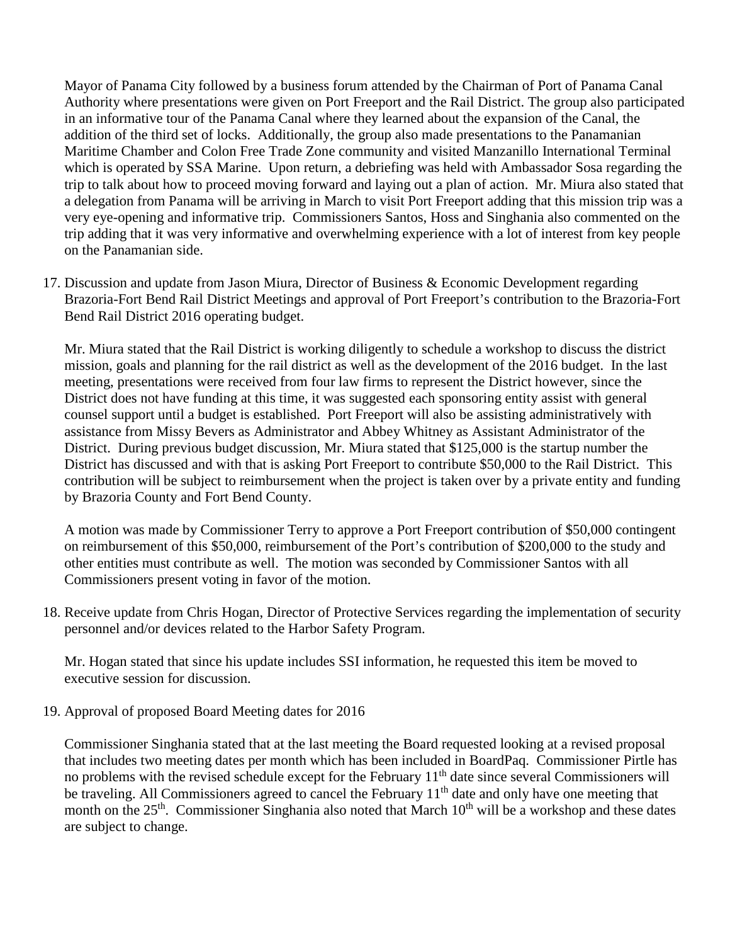Mayor of Panama City followed by a business forum attended by the Chairman of Port of Panama Canal Authority where presentations were given on Port Freeport and the Rail District. The group also participated in an informative tour of the Panama Canal where they learned about the expansion of the Canal, the addition of the third set of locks. Additionally, the group also made presentations to the Panamanian Maritime Chamber and Colon Free Trade Zone community and visited Manzanillo International Terminal which is operated by SSA Marine. Upon return, a debriefing was held with Ambassador Sosa regarding the trip to talk about how to proceed moving forward and laying out a plan of action. Mr. Miura also stated that a delegation from Panama will be arriving in March to visit Port Freeport adding that this mission trip was a very eye-opening and informative trip. Commissioners Santos, Hoss and Singhania also commented on the trip adding that it was very informative and overwhelming experience with a lot of interest from key people on the Panamanian side.

17. Discussion and update from Jason Miura, Director of Business & Economic Development regarding Brazoria-Fort Bend Rail District Meetings and approval of Port Freeport's contribution to the Brazoria-Fort Bend Rail District 2016 operating budget.

Mr. Miura stated that the Rail District is working diligently to schedule a workshop to discuss the district mission, goals and planning for the rail district as well as the development of the 2016 budget. In the last meeting, presentations were received from four law firms to represent the District however, since the District does not have funding at this time, it was suggested each sponsoring entity assist with general counsel support until a budget is established. Port Freeport will also be assisting administratively with assistance from Missy Bevers as Administrator and Abbey Whitney as Assistant Administrator of the District. During previous budget discussion, Mr. Miura stated that \$125,000 is the startup number the District has discussed and with that is asking Port Freeport to contribute \$50,000 to the Rail District. This contribution will be subject to reimbursement when the project is taken over by a private entity and funding by Brazoria County and Fort Bend County.

A motion was made by Commissioner Terry to approve a Port Freeport contribution of \$50,000 contingent on reimbursement of this \$50,000, reimbursement of the Port's contribution of \$200,000 to the study and other entities must contribute as well. The motion was seconded by Commissioner Santos with all Commissioners present voting in favor of the motion.

18. Receive update from Chris Hogan, Director of Protective Services regarding the implementation of security personnel and/or devices related to the Harbor Safety Program.

Mr. Hogan stated that since his update includes SSI information, he requested this item be moved to executive session for discussion.

19. Approval of proposed Board Meeting dates for 2016

Commissioner Singhania stated that at the last meeting the Board requested looking at a revised proposal that includes two meeting dates per month which has been included in BoardPaq. Commissioner Pirtle has no problems with the revised schedule except for the February 11<sup>th</sup> date since several Commissioners will be traveling. All Commissioners agreed to cancel the February 11<sup>th</sup> date and only have one meeting that month on the 25<sup>th</sup>. Commissioner Singhania also noted that March 10<sup>th</sup> will be a workshop and these dates are subject to change.